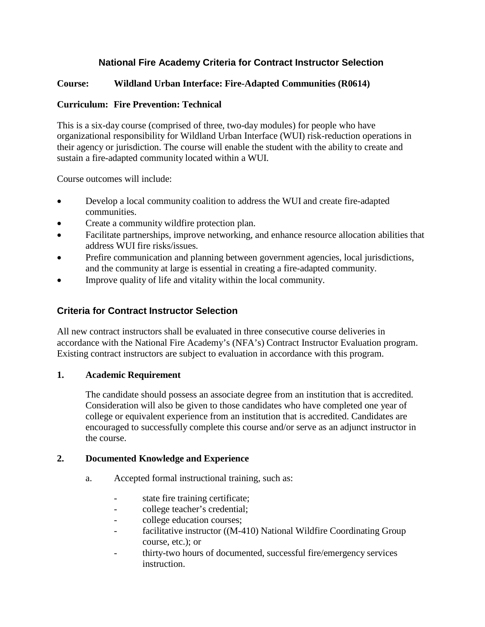# **National Fire Academy Criteria for Contract Instructor Selection**

## **Course: Wildland Urban Interface: Fire-Adapted Communities (R0614)**

## **Curriculum: Fire Prevention: Technical**

This is a six-day course (comprised of three, two-day modules) for people who have organizational responsibility for Wildland Urban Interface (WUI) risk-reduction operations in their agency or jurisdiction. The course will enable the student with the ability to create and sustain a fire-adapted community located within a WUI.

Course outcomes will include:

- Develop a local community coalition to address the WUI and create fire-adapted communities.
- Create a community wildfire protection plan.
- Facilitate partnerships, improve networking, and enhance resource allocation abilities that address WUI fire risks/issues.
- Prefire communication and planning between government agencies, local jurisdictions, and the community at large is essential in creating a fire-adapted community.
- Improve quality of life and vitality within the local community.

## **Criteria for Contract Instructor Selection**

All new contract instructors shall be evaluated in three consecutive course deliveries in accordance with the National Fire Academy's (NFA's) Contract Instructor Evaluation program. Existing contract instructors are subject to evaluation in accordance with this program.

#### **1. Academic Requirement**

The candidate should possess an associate degree from an institution that is accredited. Consideration will also be given to those candidates who have completed one year of college or equivalent experience from an institution that is accredited. Candidates are encouraged to successfully complete this course and/or serve as an adjunct instructor in the course.

#### **2. Documented Knowledge and Experience**

- a. Accepted formal instructional training, such as:
	- state fire training certificate;
	- college teacher's credential;
	- college education courses;
	- facilitative instructor ((M-410) National Wildfire Coordinating Group course, etc.); or
	- thirty-two hours of documented, successful fire/emergency services instruction.